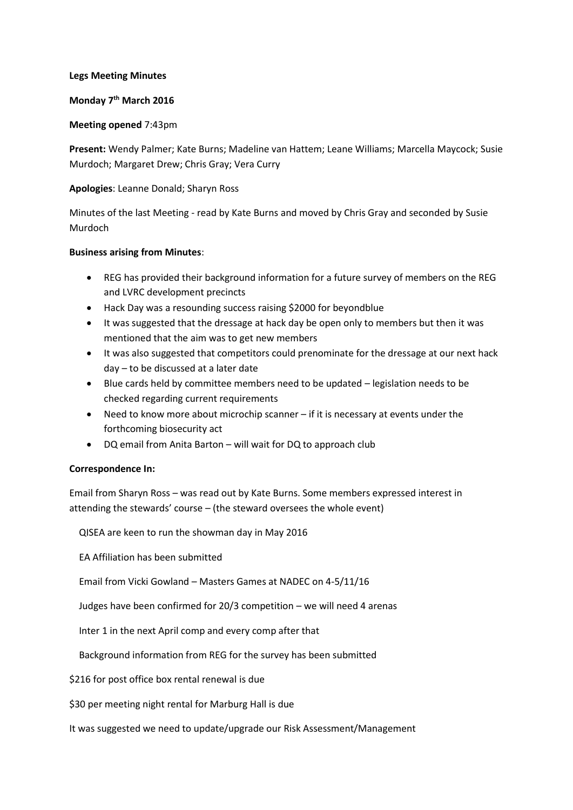#### **Legs Meeting Minutes**

# **Monday 7th March 2016**

#### **Meeting opened** 7:43pm

**Present:** Wendy Palmer; Kate Burns; Madeline van Hattem; Leane Williams; Marcella Maycock; Susie Murdoch; Margaret Drew; Chris Gray; Vera Curry

## **Apologies**: Leanne Donald; Sharyn Ross

Minutes of the last Meeting - read by Kate Burns and moved by Chris Gray and seconded by Susie Murdoch

## **Business arising from Minutes**:

- REG has provided their background information for a future survey of members on the REG and LVRC development precincts
- Hack Day was a resounding success raising \$2000 for beyondblue
- It was suggested that the dressage at hack day be open only to members but then it was mentioned that the aim was to get new members
- It was also suggested that competitors could prenominate for the dressage at our next hack day – to be discussed at a later date
- Blue cards held by committee members need to be updated legislation needs to be checked regarding current requirements
- Need to know more about microchip scanner if it is necessary at events under the forthcoming biosecurity act
- DQ email from Anita Barton will wait for DQ to approach club

## **Correspondence In:**

Email from Sharyn Ross – was read out by Kate Burns. Some members expressed interest in attending the stewards' course – (the steward oversees the whole event)

QISEA are keen to run the showman day in May 2016

EA Affiliation has been submitted

Email from Vicki Gowland – Masters Games at NADEC on 4-5/11/16

Judges have been confirmed for 20/3 competition – we will need 4 arenas

Inter 1 in the next April comp and every comp after that

Background information from REG for the survey has been submitted

\$216 for post office box rental renewal is due

\$30 per meeting night rental for Marburg Hall is due

It was suggested we need to update/upgrade our Risk Assessment/Management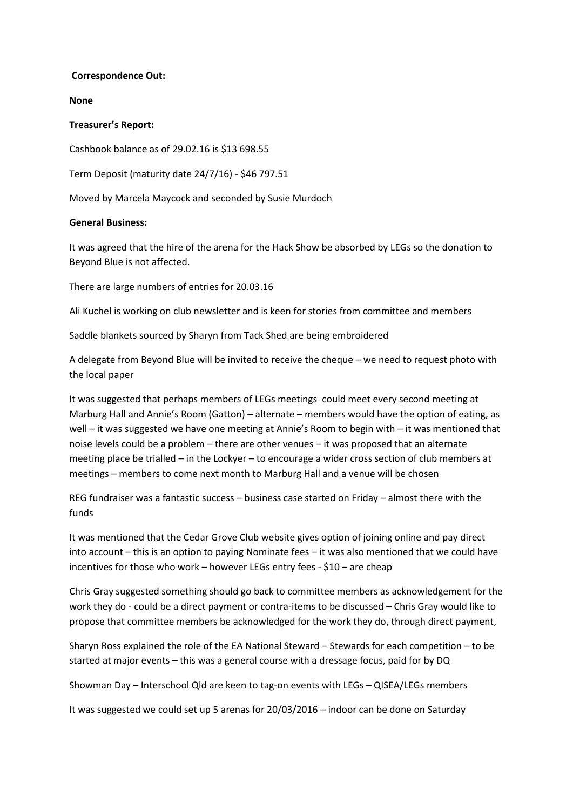#### **Correspondence Out:**

**None**

#### **Treasurer's Report:**

Cashbook balance as of 29.02.16 is \$13 698.55

Term Deposit (maturity date 24/7/16) - \$46 797.51

Moved by Marcela Maycock and seconded by Susie Murdoch

## **General Business:**

It was agreed that the hire of the arena for the Hack Show be absorbed by LEGs so the donation to Beyond Blue is not affected.

There are large numbers of entries for 20.03.16

Ali Kuchel is working on club newsletter and is keen for stories from committee and members

Saddle blankets sourced by Sharyn from Tack Shed are being embroidered

A delegate from Beyond Blue will be invited to receive the cheque – we need to request photo with the local paper

It was suggested that perhaps members of LEGs meetings could meet every second meeting at Marburg Hall and Annie's Room (Gatton) – alternate – members would have the option of eating, as well – it was suggested we have one meeting at Annie's Room to begin with – it was mentioned that noise levels could be a problem – there are other venues – it was proposed that an alternate meeting place be trialled – in the Lockyer – to encourage a wider cross section of club members at meetings – members to come next month to Marburg Hall and a venue will be chosen

REG fundraiser was a fantastic success – business case started on Friday – almost there with the funds

It was mentioned that the Cedar Grove Club website gives option of joining online and pay direct into account – this is an option to paying Nominate fees – it was also mentioned that we could have incentives for those who work – however LEGs entry fees - \$10 – are cheap

Chris Gray suggested something should go back to committee members as acknowledgement for the work they do - could be a direct payment or contra-items to be discussed – Chris Gray would like to propose that committee members be acknowledged for the work they do, through direct payment,

Sharyn Ross explained the role of the EA National Steward – Stewards for each competition – to be started at major events – this was a general course with a dressage focus, paid for by DQ

Showman Day – Interschool Qld are keen to tag-on events with LEGs – QISEA/LEGs members

It was suggested we could set up 5 arenas for 20/03/2016 – indoor can be done on Saturday